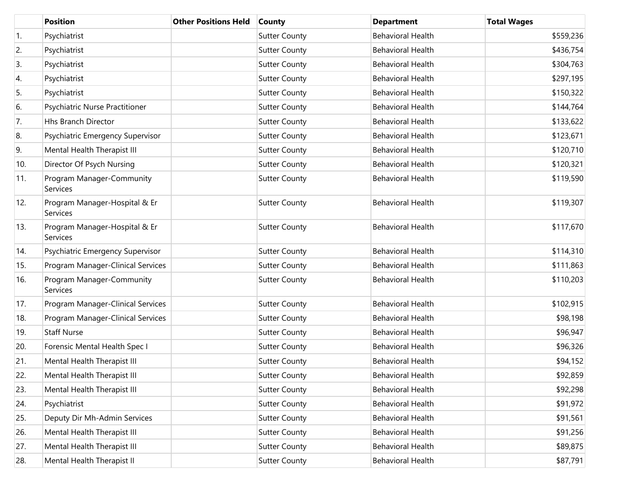|     | <b>Position</b>                           | <b>Other Positions Held</b> | County               | <b>Department</b>        | <b>Total Wages</b> |
|-----|-------------------------------------------|-----------------------------|----------------------|--------------------------|--------------------|
| 1.  | Psychiatrist                              |                             | <b>Sutter County</b> | <b>Behavioral Health</b> | \$559,236          |
| 2.  | Psychiatrist                              |                             | <b>Sutter County</b> | <b>Behavioral Health</b> | \$436,754          |
| 3.  | Psychiatrist                              |                             | <b>Sutter County</b> | <b>Behavioral Health</b> | \$304,763          |
| 4.  | Psychiatrist                              |                             | <b>Sutter County</b> | <b>Behavioral Health</b> | \$297,195          |
| 5.  | Psychiatrist                              |                             | <b>Sutter County</b> | <b>Behavioral Health</b> | \$150,322          |
| 6.  | Psychiatric Nurse Practitioner            |                             | <b>Sutter County</b> | <b>Behavioral Health</b> | \$144,764          |
| 7.  | Hhs Branch Director                       |                             | <b>Sutter County</b> | <b>Behavioral Health</b> | \$133,622          |
| 8.  | Psychiatric Emergency Supervisor          |                             | <b>Sutter County</b> | <b>Behavioral Health</b> | \$123,671          |
| 9.  | Mental Health Therapist III               |                             | <b>Sutter County</b> | <b>Behavioral Health</b> | \$120,710          |
| 10. | Director Of Psych Nursing                 |                             | <b>Sutter County</b> | <b>Behavioral Health</b> | \$120,321          |
| 11. | Program Manager-Community<br>Services     |                             | <b>Sutter County</b> | <b>Behavioral Health</b> | \$119,590          |
| 12. | Program Manager-Hospital & Er<br>Services |                             | <b>Sutter County</b> | <b>Behavioral Health</b> | \$119,307          |
| 13. | Program Manager-Hospital & Er<br>Services |                             | <b>Sutter County</b> | <b>Behavioral Health</b> | \$117,670          |
| 14. | Psychiatric Emergency Supervisor          |                             | <b>Sutter County</b> | <b>Behavioral Health</b> | \$114,310          |
| 15. | Program Manager-Clinical Services         |                             | <b>Sutter County</b> | <b>Behavioral Health</b> | \$111,863          |
| 16. | Program Manager-Community<br>Services     |                             | <b>Sutter County</b> | <b>Behavioral Health</b> | \$110,203          |
| 17. | Program Manager-Clinical Services         |                             | <b>Sutter County</b> | <b>Behavioral Health</b> | \$102,915          |
| 18. | Program Manager-Clinical Services         |                             | <b>Sutter County</b> | <b>Behavioral Health</b> | \$98,198           |
| 19. | <b>Staff Nurse</b>                        |                             | <b>Sutter County</b> | <b>Behavioral Health</b> | \$96,947           |
| 20. | Forensic Mental Health Spec I             |                             | <b>Sutter County</b> | <b>Behavioral Health</b> | \$96,326           |
| 21. | Mental Health Therapist III               |                             | <b>Sutter County</b> | <b>Behavioral Health</b> | \$94,152           |
| 22. | Mental Health Therapist III               |                             | <b>Sutter County</b> | <b>Behavioral Health</b> | \$92,859           |
| 23. | Mental Health Therapist III               |                             | <b>Sutter County</b> | Behavioral Health        | \$92,298           |
| 24. | Psychiatrist                              |                             | <b>Sutter County</b> | Behavioral Health        | \$91,972           |
| 25. | Deputy Dir Mh-Admin Services              |                             | <b>Sutter County</b> | Behavioral Health        | \$91,561           |
| 26. | Mental Health Therapist III               |                             | <b>Sutter County</b> | Behavioral Health        | \$91,256           |
| 27. | Mental Health Therapist III               |                             | <b>Sutter County</b> | Behavioral Health        | \$89,875           |
| 28. | Mental Health Therapist II                |                             | <b>Sutter County</b> | Behavioral Health        | \$87,791           |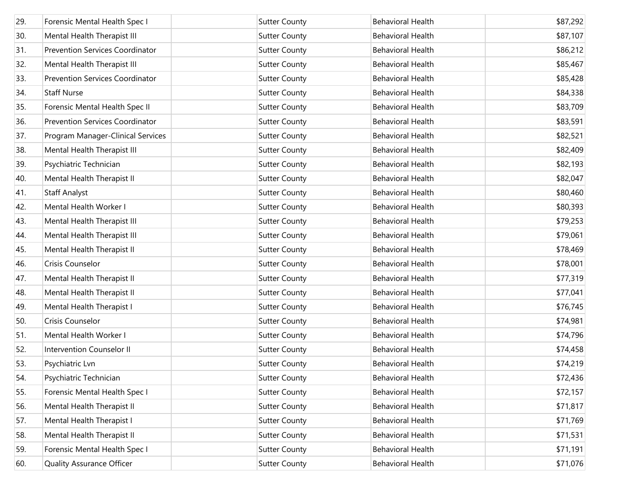| 29. | Forensic Mental Health Spec I          | <b>Sutter County</b> | <b>Behavioral Health</b> | \$87,292 |
|-----|----------------------------------------|----------------------|--------------------------|----------|
| 30. | Mental Health Therapist III            | <b>Sutter County</b> | <b>Behavioral Health</b> | \$87,107 |
| 31. | <b>Prevention Services Coordinator</b> | <b>Sutter County</b> | <b>Behavioral Health</b> | \$86,212 |
| 32. | Mental Health Therapist III            | <b>Sutter County</b> | <b>Behavioral Health</b> | \$85,467 |
| 33. | <b>Prevention Services Coordinator</b> | <b>Sutter County</b> | <b>Behavioral Health</b> | \$85,428 |
| 34. | <b>Staff Nurse</b>                     | <b>Sutter County</b> | <b>Behavioral Health</b> | \$84,338 |
| 35. | Forensic Mental Health Spec II         | <b>Sutter County</b> | <b>Behavioral Health</b> | \$83,709 |
| 36. | <b>Prevention Services Coordinator</b> | <b>Sutter County</b> | <b>Behavioral Health</b> | \$83,591 |
| 37. | Program Manager-Clinical Services      | <b>Sutter County</b> | <b>Behavioral Health</b> | \$82,521 |
| 38. | Mental Health Therapist III            | <b>Sutter County</b> | <b>Behavioral Health</b> | \$82,409 |
| 39. | Psychiatric Technician                 | <b>Sutter County</b> | <b>Behavioral Health</b> | \$82,193 |
| 40. | Mental Health Therapist II             | <b>Sutter County</b> | <b>Behavioral Health</b> | \$82,047 |
| 41. | <b>Staff Analyst</b>                   | <b>Sutter County</b> | <b>Behavioral Health</b> | \$80,460 |
| 42. | Mental Health Worker I                 | <b>Sutter County</b> | <b>Behavioral Health</b> | \$80,393 |
| 43. | Mental Health Therapist III            | <b>Sutter County</b> | <b>Behavioral Health</b> | \$79,253 |
| 44. | Mental Health Therapist III            | <b>Sutter County</b> | <b>Behavioral Health</b> | \$79,061 |
| 45. | Mental Health Therapist II             | <b>Sutter County</b> | <b>Behavioral Health</b> | \$78,469 |
| 46. | Crisis Counselor                       | <b>Sutter County</b> | <b>Behavioral Health</b> | \$78,001 |
| 47. | Mental Health Therapist II             | <b>Sutter County</b> | <b>Behavioral Health</b> | \$77,319 |
| 48. | Mental Health Therapist II             | <b>Sutter County</b> | <b>Behavioral Health</b> | \$77,041 |
| 49. | Mental Health Therapist I              | <b>Sutter County</b> | <b>Behavioral Health</b> | \$76,745 |
| 50. | Crisis Counselor                       | <b>Sutter County</b> | <b>Behavioral Health</b> | \$74,981 |
| 51. | Mental Health Worker I                 | <b>Sutter County</b> | <b>Behavioral Health</b> | \$74,796 |
| 52. | Intervention Counselor II              | <b>Sutter County</b> | <b>Behavioral Health</b> | \$74,458 |
| 53. | Psychiatric Lvn                        | <b>Sutter County</b> | <b>Behavioral Health</b> | \$74,219 |
| 54. | Psychiatric Technician                 | <b>Sutter County</b> | <b>Behavioral Health</b> | \$72,436 |
| 55. | Forensic Mental Health Spec I          | <b>Sutter County</b> | <b>Behavioral Health</b> | \$72,157 |
| 56. | Mental Health Therapist II             | <b>Sutter County</b> | <b>Behavioral Health</b> | \$71,817 |
| 57. | Mental Health Therapist I              | <b>Sutter County</b> | <b>Behavioral Health</b> | \$71,769 |
| 58. | Mental Health Therapist II             | <b>Sutter County</b> | <b>Behavioral Health</b> | \$71,531 |
| 59. | Forensic Mental Health Spec I          | <b>Sutter County</b> | <b>Behavioral Health</b> | \$71,191 |
| 60. | Quality Assurance Officer              | <b>Sutter County</b> | <b>Behavioral Health</b> | \$71,076 |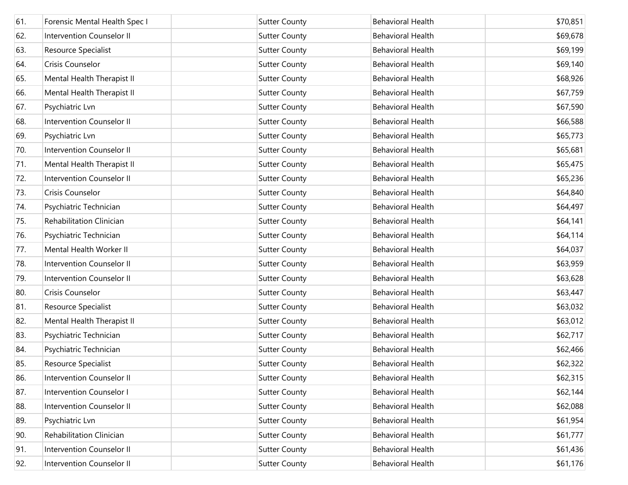| 61. | Forensic Mental Health Spec I    | <b>Sutter County</b> | <b>Behavioral Health</b> | \$70,851 |
|-----|----------------------------------|----------------------|--------------------------|----------|
| 62. | <b>Intervention Counselor II</b> | <b>Sutter County</b> | <b>Behavioral Health</b> | \$69,678 |
| 63. | Resource Specialist              | <b>Sutter County</b> | <b>Behavioral Health</b> | \$69,199 |
| 64. | Crisis Counselor                 | <b>Sutter County</b> | <b>Behavioral Health</b> | \$69,140 |
| 65. | Mental Health Therapist II       | <b>Sutter County</b> | <b>Behavioral Health</b> | \$68,926 |
| 66. | Mental Health Therapist II       | <b>Sutter County</b> | <b>Behavioral Health</b> | \$67,759 |
| 67. | Psychiatric Lvn                  | <b>Sutter County</b> | <b>Behavioral Health</b> | \$67,590 |
| 68. | Intervention Counselor II        | <b>Sutter County</b> | <b>Behavioral Health</b> | \$66,588 |
| 69. | Psychiatric Lvn                  | <b>Sutter County</b> | <b>Behavioral Health</b> | \$65,773 |
| 70. | Intervention Counselor II        | <b>Sutter County</b> | <b>Behavioral Health</b> | \$65,681 |
| 71. | Mental Health Therapist II       | <b>Sutter County</b> | <b>Behavioral Health</b> | \$65,475 |
| 72. | Intervention Counselor II        | <b>Sutter County</b> | <b>Behavioral Health</b> | \$65,236 |
| 73. | Crisis Counselor                 | <b>Sutter County</b> | <b>Behavioral Health</b> | \$64,840 |
| 74. | Psychiatric Technician           | <b>Sutter County</b> | <b>Behavioral Health</b> | \$64,497 |
| 75. | Rehabilitation Clinician         | <b>Sutter County</b> | <b>Behavioral Health</b> | \$64,141 |
| 76. | Psychiatric Technician           | <b>Sutter County</b> | <b>Behavioral Health</b> | \$64,114 |
| 77. | Mental Health Worker II          | <b>Sutter County</b> | <b>Behavioral Health</b> | \$64,037 |
| 78. | Intervention Counselor II        | <b>Sutter County</b> | <b>Behavioral Health</b> | \$63,959 |
| 79. | Intervention Counselor II        | <b>Sutter County</b> | <b>Behavioral Health</b> | \$63,628 |
| 80. | Crisis Counselor                 | <b>Sutter County</b> | <b>Behavioral Health</b> | \$63,447 |
| 81. | Resource Specialist              | <b>Sutter County</b> | <b>Behavioral Health</b> | \$63,032 |
| 82. | Mental Health Therapist II       | <b>Sutter County</b> | <b>Behavioral Health</b> | \$63,012 |
| 83. | Psychiatric Technician           | <b>Sutter County</b> | Behavioral Health        | \$62,717 |
| 84. | Psychiatric Technician           | <b>Sutter County</b> | <b>Behavioral Health</b> | \$62,466 |
| 85. | Resource Specialist              | <b>Sutter County</b> | <b>Behavioral Health</b> | \$62,322 |
| 86. | Intervention Counselor II        | <b>Sutter County</b> | <b>Behavioral Health</b> | \$62,315 |
| 87. | Intervention Counselor I         | <b>Sutter County</b> | Behavioral Health        | \$62,144 |
| 88. | Intervention Counselor II        | <b>Sutter County</b> | Behavioral Health        | \$62,088 |
| 89. | Psychiatric Lvn                  | <b>Sutter County</b> | Behavioral Health        | \$61,954 |
| 90. | Rehabilitation Clinician         | <b>Sutter County</b> | Behavioral Health        | \$61,777 |
| 91. | Intervention Counselor II        | <b>Sutter County</b> | Behavioral Health        | \$61,436 |
| 92. | Intervention Counselor II        | <b>Sutter County</b> | Behavioral Health        | \$61,176 |